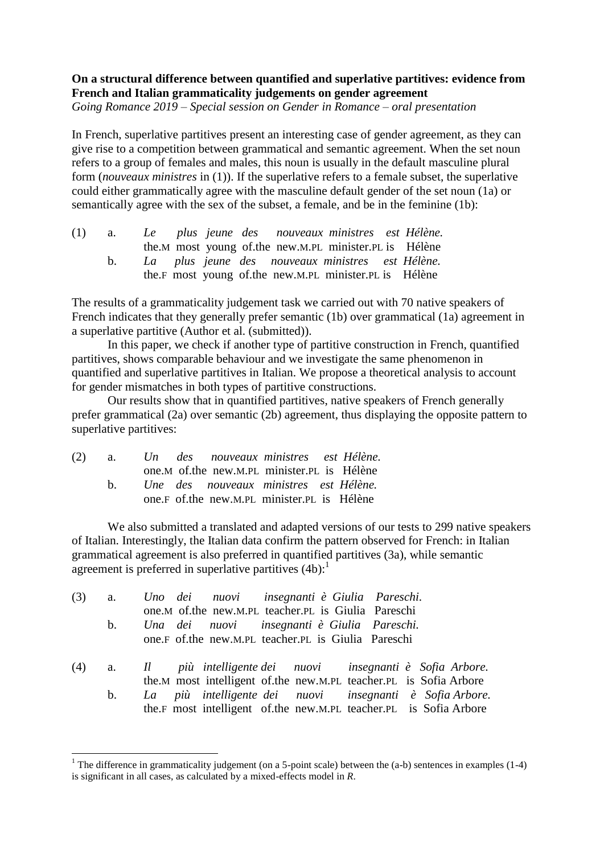## **On a structural difference between quantified and superlative partitives: evidence from French and Italian grammaticality judgements on gender agreement**

*Going Romance 2019 – Special session on Gender in Romance – oral presentation*

In French, superlative partitives present an interesting case of gender agreement, as they can give rise to a competition between grammatical and semantic agreement. When the set noun refers to a group of females and males, this noun is usually in the default masculine plural form (*nouveaux ministres* in (1)). If the superlative refers to a female subset, the superlative could either grammatically agree with the masculine default gender of the set noun (1a) or semantically agree with the sex of the subset, a female, and be in the feminine (1b):

| (1) |  |  |  | a. Le plus jeune des nouveaux ministres est Hélène.     |  |
|-----|--|--|--|---------------------------------------------------------|--|
|     |  |  |  | the.M most young of the new.M.PL minister.PL is Hélène  |  |
|     |  |  |  | La plus jeune des nouveaux ministres est Hélène.        |  |
|     |  |  |  | the F most young of the new M.PL minister. PL is Hélène |  |

The results of a grammaticality judgement task we carried out with 70 native speakers of French indicates that they generally prefer semantic (1b) over grammatical (1a) agreement in a superlative partitive (Author et al. (submitted)).

In this paper, we check if another type of partitive construction in French, quantified partitives, shows comparable behaviour and we investigate the same phenomenon in quantified and superlative partitives in Italian. We propose a theoretical analysis to account for gender mismatches in both types of partitive constructions.

Our results show that in quantified partitives, native speakers of French generally prefer grammatical (2a) over semantic (2b) agreement, thus displaying the opposite pattern to superlative partitives:

|     |  | (2) a. Un des nouveaux ministres est Hélène. |  |
|-----|--|----------------------------------------------|--|
|     |  | one.M of the new.M.PL minister.PL is Hélène  |  |
| h — |  | Une des nouveaux ministres est Hélène.       |  |
|     |  | one.F of the new M.PL minister.PL is Hélène  |  |

**.** 

We also submitted a translated and adapted versions of our tests to 299 native speakers of Italian. Interestingly, the Italian data confirm the pattern observed for French: in Italian grammatical agreement is also preferred in quantified partitives (3a), while semantic agreement is preferred in superlative partitives  $(4b)$ :

| (3) |    | a. Uno dei nuovi insegnanti è Giulia Pareschi.                    |
|-----|----|-------------------------------------------------------------------|
|     |    | one.M of.the new.M.PL teacher.PL is Giulia Pareschi               |
|     | b. | Una dei nuovi insegnanti è Giulia Pareschi.                       |
|     |    | one.F of.the new.M.PL teacher.PL is Giulia Pareschi               |
|     |    | (4) a. Il più intelligente dei nuovi insegnanti è Sofia Arbore.   |
|     |    | the.M most intelligent of the new.M.PL teacher.PL is Sofia Arbore |
|     |    | b. La più intelligente dei nuovi insegnanti è Sofia Arbore.       |

the.F most intelligent of.the new.M.PL teacher.PL is Sofia Arbore

<sup>&</sup>lt;sup>1</sup> The difference in grammaticality judgement (on a 5-point scale) between the (a-b) sentences in examples (1-4) is significant in all cases, as calculated by a mixed-effects model in *R*.